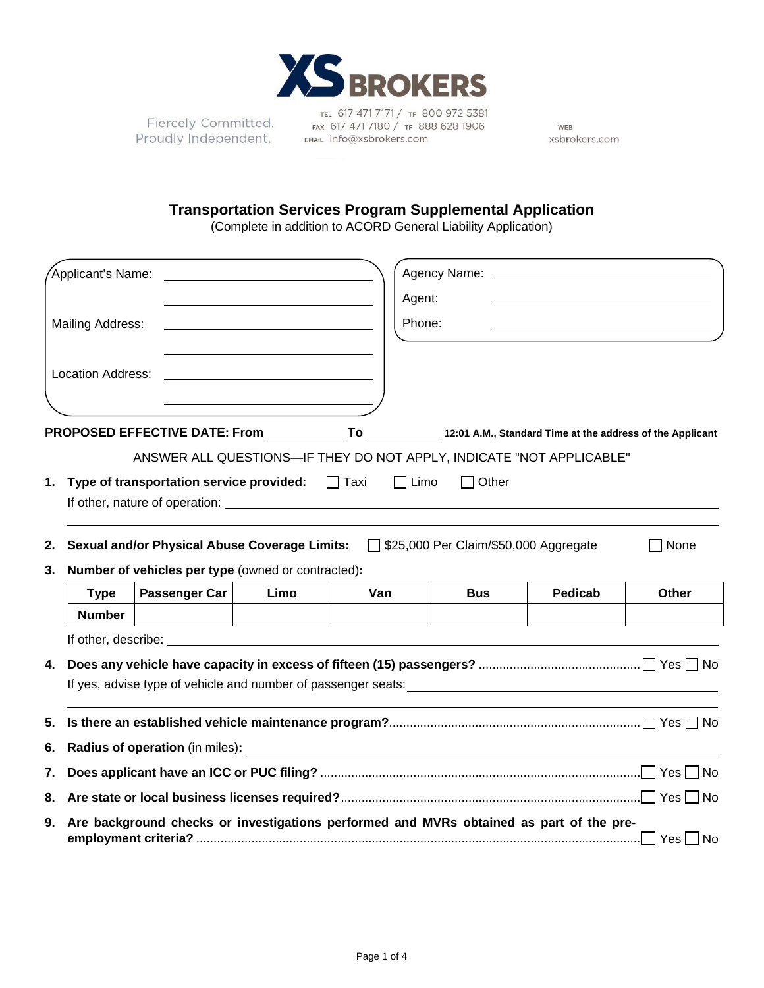

Fiercely Committed. Proudly Independent.

TEL 617 471 7171 / TF 800 972 5381 FAX 617 471 7180 / TF 888 628 1906 EMAIL Info@xsbrokers.com

WEB xsbrokers.com

## **Transportation Services Program Supplemental Application**

(Complete in addition to ACORD General Liability Application)

|    | Applicant's Name:                                                                       |                                                                                                                                                                                                                                |      |             |                                         | Agency Name: Name: Name and Agency Name and Agency Name and Agency Name and Agency Name and Agency Name and Agency Name and Agency Name and Agency Name and Agency Name and Agency Name and Agency Name and Agency Name and Ag |              |  |  |  |  |
|----|-----------------------------------------------------------------------------------------|--------------------------------------------------------------------------------------------------------------------------------------------------------------------------------------------------------------------------------|------|-------------|-----------------------------------------|--------------------------------------------------------------------------------------------------------------------------------------------------------------------------------------------------------------------------------|--------------|--|--|--|--|
|    |                                                                                         |                                                                                                                                                                                                                                |      | Agent:      |                                         |                                                                                                                                                                                                                                |              |  |  |  |  |
|    | <b>Mailing Address:</b>                                                                 |                                                                                                                                                                                                                                |      | Phone:      |                                         |                                                                                                                                                                                                                                |              |  |  |  |  |
|    |                                                                                         |                                                                                                                                                                                                                                |      |             |                                         |                                                                                                                                                                                                                                |              |  |  |  |  |
|    | Location Address:                                                                       |                                                                                                                                                                                                                                |      |             |                                         |                                                                                                                                                                                                                                |              |  |  |  |  |
|    |                                                                                         |                                                                                                                                                                                                                                |      |             |                                         |                                                                                                                                                                                                                                |              |  |  |  |  |
|    |                                                                                         | PROPOSED EFFECTIVE DATE: From _____________To ____________12:01 A.M., Standard Time at the address of the Applicant                                                                                                            |      |             |                                         |                                                                                                                                                                                                                                |              |  |  |  |  |
|    |                                                                                         | ANSWER ALL QUESTIONS-IF THEY DO NOT APPLY, INDICATE "NOT APPLICABLE"                                                                                                                                                           |      |             |                                         |                                                                                                                                                                                                                                |              |  |  |  |  |
|    |                                                                                         |                                                                                                                                                                                                                                |      | $\Box$ Limo | $\Box$ Other                            |                                                                                                                                                                                                                                |              |  |  |  |  |
|    | 1. Type of transportation service provided: Taxi                                        |                                                                                                                                                                                                                                |      |             |                                         |                                                                                                                                                                                                                                |              |  |  |  |  |
|    |                                                                                         |                                                                                                                                                                                                                                |      |             |                                         |                                                                                                                                                                                                                                |              |  |  |  |  |
| 2. |                                                                                         | <b>Sexual and/or Physical Abuse Coverage Limits:</b>                                                                                                                                                                           |      |             | □ \$25,000 Per Claim/\$50,000 Aggregate |                                                                                                                                                                                                                                | None         |  |  |  |  |
| 3. | Number of vehicles per type (owned or contracted):                                      |                                                                                                                                                                                                                                |      |             |                                         |                                                                                                                                                                                                                                |              |  |  |  |  |
|    | <b>Type</b>                                                                             | Passenger Car                                                                                                                                                                                                                  | Limo | Van         | <b>Bus</b>                              | <b>Pedicab</b>                                                                                                                                                                                                                 | <b>Other</b> |  |  |  |  |
|    | <b>Number</b>                                                                           |                                                                                                                                                                                                                                |      |             |                                         |                                                                                                                                                                                                                                |              |  |  |  |  |
|    |                                                                                         | If other, describe: the contract of the contract of the contract of the contract of the contract of the contract of the contract of the contract of the contract of the contract of the contract of the contract of the contra |      |             |                                         |                                                                                                                                                                                                                                |              |  |  |  |  |
| 4. |                                                                                         |                                                                                                                                                                                                                                |      |             |                                         |                                                                                                                                                                                                                                |              |  |  |  |  |
|    |                                                                                         |                                                                                                                                                                                                                                |      |             |                                         |                                                                                                                                                                                                                                |              |  |  |  |  |
| 5. |                                                                                         |                                                                                                                                                                                                                                |      |             |                                         |                                                                                                                                                                                                                                |              |  |  |  |  |
| 6. |                                                                                         |                                                                                                                                                                                                                                |      |             |                                         |                                                                                                                                                                                                                                |              |  |  |  |  |
| 7. |                                                                                         |                                                                                                                                                                                                                                |      |             |                                         |                                                                                                                                                                                                                                |              |  |  |  |  |
| 8. |                                                                                         |                                                                                                                                                                                                                                |      |             |                                         |                                                                                                                                                                                                                                |              |  |  |  |  |
| 9. | Are background checks or investigations performed and MVRs obtained as part of the pre- |                                                                                                                                                                                                                                |      |             |                                         |                                                                                                                                                                                                                                |              |  |  |  |  |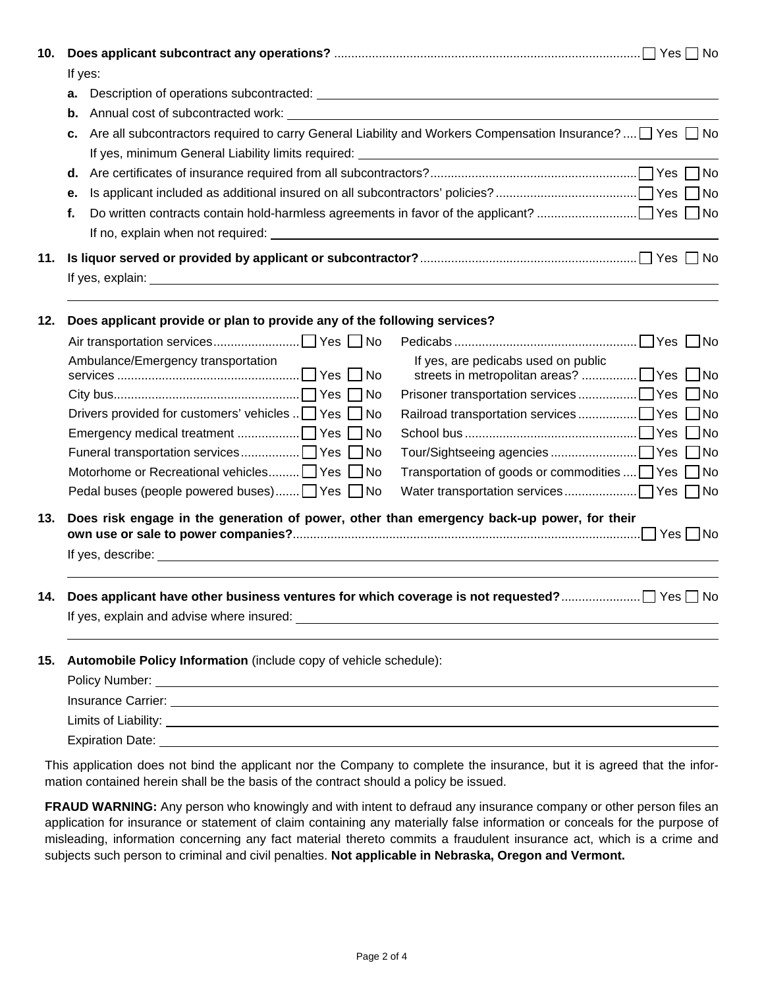| 10. | If yes:                                                                                                  |                                                                                                                     |  |  |  |  |  |  |  |
|-----|----------------------------------------------------------------------------------------------------------|---------------------------------------------------------------------------------------------------------------------|--|--|--|--|--|--|--|
|     | а.                                                                                                       |                                                                                                                     |  |  |  |  |  |  |  |
|     | b.                                                                                                       |                                                                                                                     |  |  |  |  |  |  |  |
|     | c.                                                                                                       | Are all subcontractors required to carry General Liability and Workers Compensation Insurance? $\Box$ Yes $\Box$ No |  |  |  |  |  |  |  |
|     |                                                                                                          |                                                                                                                     |  |  |  |  |  |  |  |
|     | е.                                                                                                       |                                                                                                                     |  |  |  |  |  |  |  |
|     | f.                                                                                                       |                                                                                                                     |  |  |  |  |  |  |  |
|     |                                                                                                          |                                                                                                                     |  |  |  |  |  |  |  |
| 11. |                                                                                                          |                                                                                                                     |  |  |  |  |  |  |  |
|     |                                                                                                          |                                                                                                                     |  |  |  |  |  |  |  |
| 12. | Does applicant provide or plan to provide any of the following services?                                 |                                                                                                                     |  |  |  |  |  |  |  |
|     |                                                                                                          |                                                                                                                     |  |  |  |  |  |  |  |
|     | Ambulance/Emergency transportation                                                                       | If yes, are pedicabs used on public                                                                                 |  |  |  |  |  |  |  |
|     |                                                                                                          |                                                                                                                     |  |  |  |  |  |  |  |
|     | Drivers provided for customers' vehicles  □ Yes □ No                                                     |                                                                                                                     |  |  |  |  |  |  |  |
|     |                                                                                                          |                                                                                                                     |  |  |  |  |  |  |  |
|     |                                                                                                          |                                                                                                                     |  |  |  |  |  |  |  |
|     | Motorhome or Recreational vehicles Yes No                                                                | Transportation of goods or commodities  Yes Ⅱ No                                                                    |  |  |  |  |  |  |  |
|     | Pedal buses (people powered buses) Ves No                                                                |                                                                                                                     |  |  |  |  |  |  |  |
| 13. | Does risk engage in the generation of power, other than emergency back-up power, for their               |                                                                                                                     |  |  |  |  |  |  |  |
| 14. | Does applicant have other business ventures for which coverage is not requested?<br>$\Box$ Yes $\Box$ No |                                                                                                                     |  |  |  |  |  |  |  |
|     |                                                                                                          |                                                                                                                     |  |  |  |  |  |  |  |
| 15. | Automobile Policy Information (include copy of vehicle schedule):                                        |                                                                                                                     |  |  |  |  |  |  |  |
|     |                                                                                                          |                                                                                                                     |  |  |  |  |  |  |  |
|     | Insurance Carrier: <u>Carrier Andrew Communication</u>                                                   |                                                                                                                     |  |  |  |  |  |  |  |
|     |                                                                                                          |                                                                                                                     |  |  |  |  |  |  |  |
|     |                                                                                                          |                                                                                                                     |  |  |  |  |  |  |  |

This application does not bind the applicant nor the Company to complete the insurance, but it is agreed that the information contained herein shall be the basis of the contract should a policy be issued.

**FRAUD WARNING:** Any person who knowingly and with intent to defraud any insurance company or other person files an application for insurance or statement of claim containing any materially false information or conceals for the purpose of misleading, information concerning any fact material thereto commits a fraudulent insurance act, which is a crime and subjects such person to criminal and civil penalties. **Not applicable in Nebraska, Oregon and Vermont.**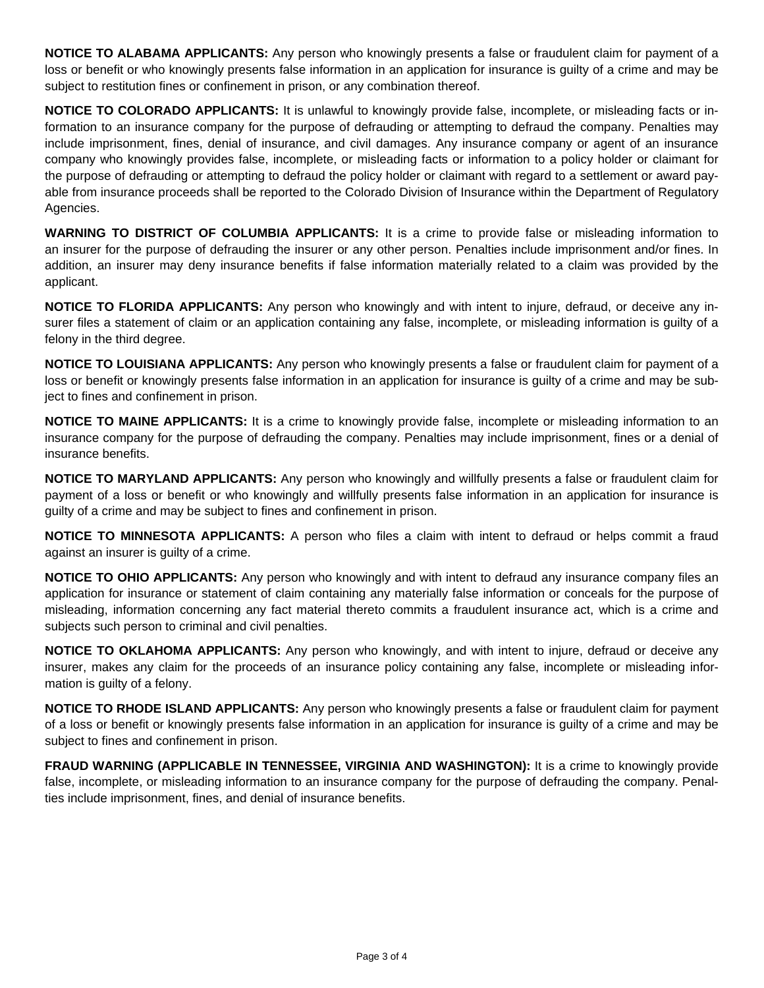**NOTICE TO ALABAMA APPLICANTS:** Any person who knowingly presents a false or fraudulent claim for payment of a loss or benefit or who knowingly presents false information in an application for insurance is guilty of a crime and may be subject to restitution fines or confinement in prison, or any combination thereof.

**NOTICE TO COLORADO APPLICANTS:** It is unlawful to knowingly provide false, incomplete, or misleading facts or information to an insurance company for the purpose of defrauding or attempting to defraud the company. Penalties may include imprisonment, fines, denial of insurance, and civil damages. Any insurance company or agent of an insurance company who knowingly provides false, incomplete, or misleading facts or information to a policy holder or claimant for the purpose of defrauding or attempting to defraud the policy holder or claimant with regard to a settlement or award payable from insurance proceeds shall be reported to the Colorado Division of Insurance within the Department of Regulatory Agencies.

**WARNING TO DISTRICT OF COLUMBIA APPLICANTS:** It is a crime to provide false or misleading information to an insurer for the purpose of defrauding the insurer or any other person. Penalties include imprisonment and/or fines. In addition, an insurer may deny insurance benefits if false information materially related to a claim was provided by the applicant.

**NOTICE TO FLORIDA APPLICANTS:** Any person who knowingly and with intent to injure, defraud, or deceive any insurer files a statement of claim or an application containing any false, incomplete, or misleading information is guilty of a felony in the third degree.

**NOTICE TO LOUISIANA APPLICANTS:** Any person who knowingly presents a false or fraudulent claim for payment of a loss or benefit or knowingly presents false information in an application for insurance is guilty of a crime and may be subject to fines and confinement in prison.

**NOTICE TO MAINE APPLICANTS:** It is a crime to knowingly provide false, incomplete or misleading information to an insurance company for the purpose of defrauding the company. Penalties may include imprisonment, fines or a denial of insurance benefits.

**NOTICE TO MARYLAND APPLICANTS:** Any person who knowingly and willfully presents a false or fraudulent claim for payment of a loss or benefit or who knowingly and willfully presents false information in an application for insurance is guilty of a crime and may be subject to fines and confinement in prison.

**NOTICE TO MINNESOTA APPLICANTS:** A person who files a claim with intent to defraud or helps commit a fraud against an insurer is guilty of a crime.

**NOTICE TO OHIO APPLICANTS:** Any person who knowingly and with intent to defraud any insurance company files an application for insurance or statement of claim containing any materially false information or conceals for the purpose of misleading, information concerning any fact material thereto commits a fraudulent insurance act, which is a crime and subjects such person to criminal and civil penalties.

**NOTICE TO OKLAHOMA APPLICANTS:** Any person who knowingly, and with intent to injure, defraud or deceive any insurer, makes any claim for the proceeds of an insurance policy containing any false, incomplete or misleading information is guilty of a felony.

**NOTICE TO RHODE ISLAND APPLICANTS:** Any person who knowingly presents a false or fraudulent claim for payment of a loss or benefit or knowingly presents false information in an application for insurance is guilty of a crime and may be subject to fines and confinement in prison.

**FRAUD WARNING (APPLICABLE IN TENNESSEE, VIRGINIA AND WASHINGTON):** It is a crime to knowingly provide false, incomplete, or misleading information to an insurance company for the purpose of defrauding the company. Penalties include imprisonment, fines, and denial of insurance benefits.